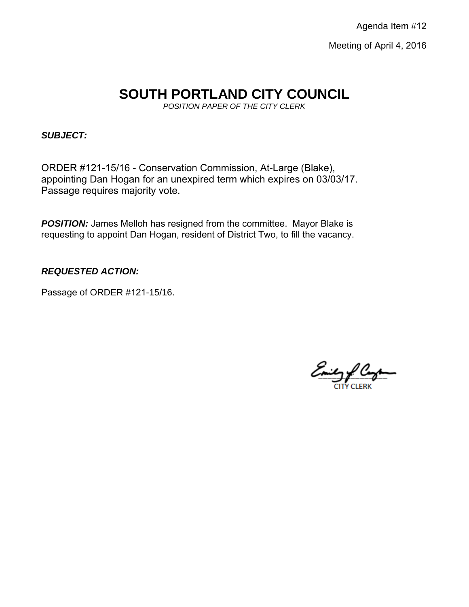# **SOUTH PORTLAND CITY COUNCIL**

*POSITION PAPER OF THE CITY CLERK*

## *SUBJECT:*

ORDER #121-15/16 - Conservation Commission, At-Large (Blake), appointing Dan Hogan for an unexpired term which expires on 03/03/17. Passage requires majority vote.

**POSITION:** James Melloh has resigned from the committee. Mayor Blake is requesting to appoint Dan Hogan, resident of District Two, to fill the vacancy.

# *REQUESTED ACTION:*

Passage of ORDER #121-15/16.

Emily PC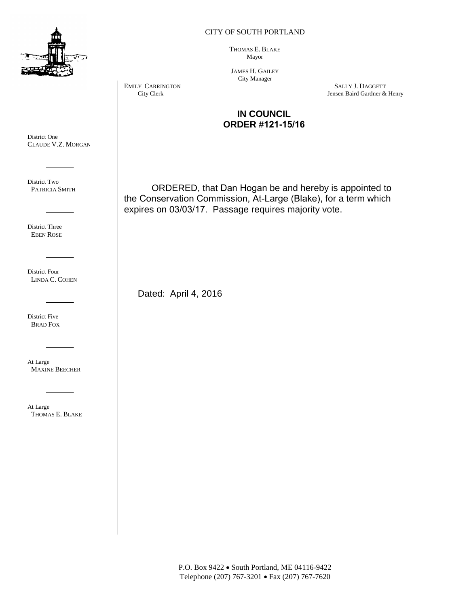

#### CITY OF SOUTH PORTLAND

THOMAS E. BLAKE Mayor

JAMES H. GAILEY City Manager

EMILY CARRINGTON SALLY J. DAGGETT City Clerk  $\qquad$  SALLY J. DAGGETT City Clerk  $\qquad$ Jensen Baird Gardner & Henry

### **IN COUNCIL ORDER #121-15/16**

ORDERED, that Dan Hogan be and hereby is appointed to the Conservation Commission, At-Large (Blake), for a term which expires on 03/03/17. Passage requires majority vote.

Dated: April 4, 2016

District One CLAUDE V.Z. MORGAN

District Two PATRICIA SMITH

District Three EBEN ROSE

District Four LINDA C. COHEN

District Five BRAD FOX

At Large MAXINE BEECHER

At Large THOMAS E. BLAKE